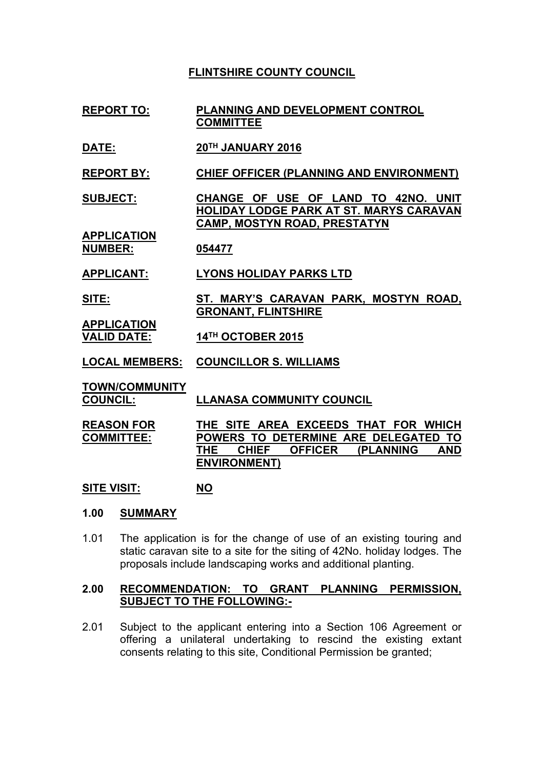# **FLINTSHIRE COUNTY COUNCIL**

- **REPORT TO: PLANNING AND DEVELOPMENT CONTROL COMMITTEE**
- **DATE: 20TH JANUARY 2016**

**REPORT BY: CHIEF OFFICER (PLANNING AND ENVIRONMENT)**

**SUBJECT: CHANGE OF USE OF LAND TO 42NO. UNIT HOLIDAY LODGE PARK AT ST. MARYS CARAVAN CAMP, MOSTYN ROAD, PRESTATYN**

**APPLICATION NUMBER: 054477**

**APPLICANT: LYONS HOLIDAY PARKS LTD**

- **SITE: ST. MARY'S CARAVAN PARK, MOSTYN ROAD, GRONANT, FLINTSHIRE**
- **VALID DATE: 14TH OCTOBER 2015**
- **LOCAL MEMBERS: COUNCILLOR S. WILLIAMS**

**TOWN/COMMUNITY**

**APPLICATION**

**COUNCIL: LLANASA COMMUNITY COUNCIL**

**REASON FOR COMMITTEE: THE SITE AREA EXCEEDS THAT FOR WHICH POWERS TO DETERMINE ARE DELEGATED TO THE CHIEF OFFICER (PLANNING AND ENVIRONMENT)**

**SITE VISIT: NO**

#### **1.00 SUMMARY**

1.01 The application is for the change of use of an existing touring and static caravan site to a site for the siting of 42No. holiday lodges. The proposals include landscaping works and additional planting.

#### **2.00 RECOMMENDATION: TO GRANT PLANNING PERMISSION, SUBJECT TO THE FOLLOWING:-**

2.01 Subject to the applicant entering into a Section 106 Agreement or offering a unilateral undertaking to rescind the existing extant consents relating to this site, Conditional Permission be granted;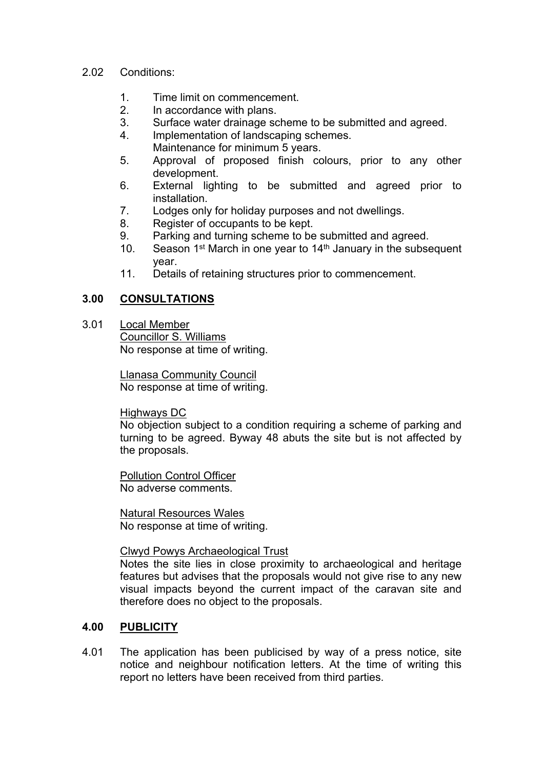#### 2.02 Conditions:

- 1. Time limit on commencement.
- 2. In accordance with plans.
- 3. Surface water drainage scheme to be submitted and agreed.
- 4. Implementation of landscaping schemes.
- Maintenance for minimum 5 years.
- 5. Approval of proposed finish colours, prior to any other development.
- 6. External lighting to be submitted and agreed prior to installation.
- 7. Lodges only for holiday purposes and not dwellings.
- 8. Register of occupants to be kept.
- 9. Parking and turning scheme to be submitted and agreed.
- 10. Season 1<sup>st</sup> March in one year to 14<sup>th</sup> January in the subsequent year.
- 11. Details of retaining structures prior to commencement.

## **3.00 CONSULTATIONS**

3.01 Local Member Councillor S. Williams No response at time of writing.

> Llanasa Community Council No response at time of writing.

Highways DC

No objection subject to a condition requiring a scheme of parking and turning to be agreed. Byway 48 abuts the site but is not affected by the proposals.

Pollution Control Officer No adverse comments.

Natural Resources Wales No response at time of writing.

### Clwyd Powys Archaeological Trust

Notes the site lies in close proximity to archaeological and heritage features but advises that the proposals would not give rise to any new visual impacts beyond the current impact of the caravan site and therefore does no object to the proposals.

### **4.00 PUBLICITY**

4.01 The application has been publicised by way of a press notice, site notice and neighbour notification letters. At the time of writing this report no letters have been received from third parties.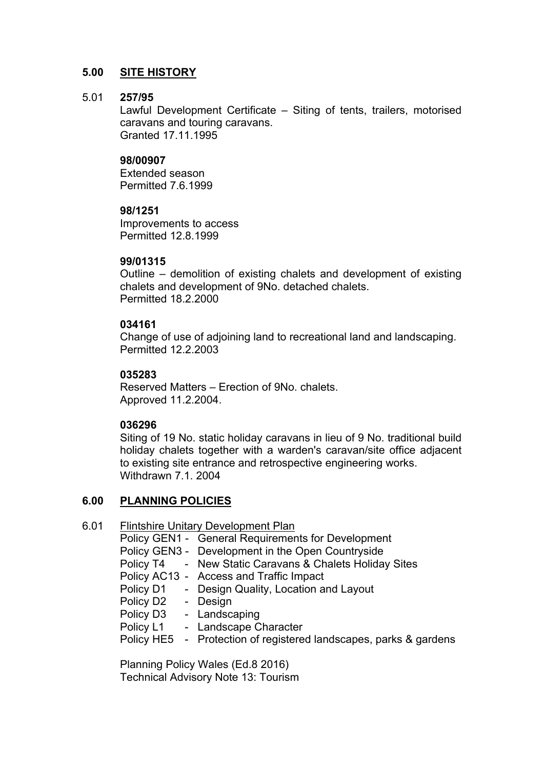### **5.00 SITE HISTORY**

#### 5.01 **257/95**

Lawful Development Certificate – Siting of tents, trailers, motorised caravans and touring caravans. Granted 17.11.1995

#### **98/00907**

Extended season Permitted 7.6.1999

#### **98/1251**

Improvements to access Permitted 12.8.1999

#### **99/01315**

Outline – demolition of existing chalets and development of existing chalets and development of 9No. detached chalets. Permitted 18.2.2000

### **034161**

Change of use of adjoining land to recreational land and landscaping. Permitted 12.2.2003

### **035283**

Reserved Matters – Erection of 9No. chalets. Approved 11.2.2004.

### **036296**

Siting of 19 No. static holiday caravans in lieu of 9 No. traditional build holiday chalets together with a warden's caravan/site office adjacent to existing site entrance and retrospective engineering works. Withdrawn 7.1. 2004

### **6.00 PLANNING POLICIES**

6.01 Flintshire Unitary Development Plan Policy GEN1 - General Requirements for Development Policy GEN3 - Development in the Open Countryside Policy T4 - New Static Caravans & Chalets Holiday Sites Policy AC13 - Access and Traffic Impact Policy D1 - Design Quality, Location and Layout Policy D2 - Design Policy D3 - Landscaping Policy L1 - Landscape Character Policy HE5 - Protection of registered landscapes, parks & gardens

> Planning Policy Wales (Ed.8 2016) Technical Advisory Note 13: Tourism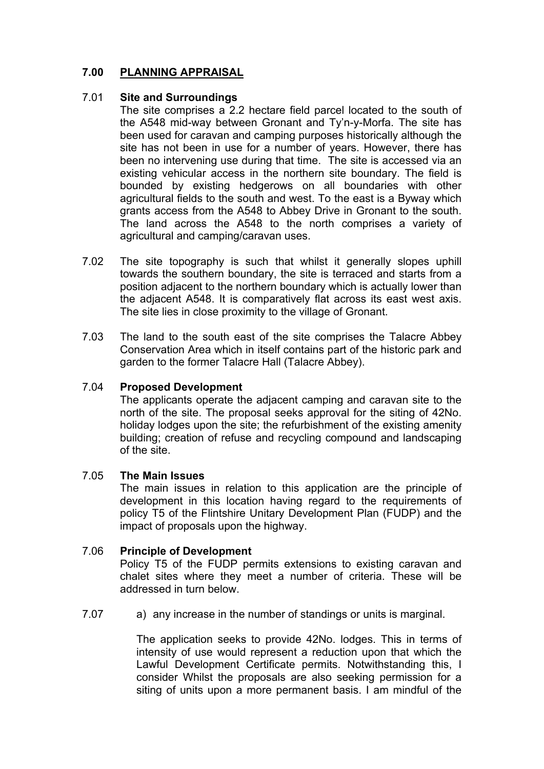# **7.00 PLANNING APPRAISAL**

#### 7.01 **Site and Surroundings**

The site comprises a 2.2 hectare field parcel located to the south of the A548 mid-way between Gronant and Ty'n-y-Morfa. The site has been used for caravan and camping purposes historically although the site has not been in use for a number of years. However, there has been no intervening use during that time. The site is accessed via an existing vehicular access in the northern site boundary. The field is bounded by existing hedgerows on all boundaries with other agricultural fields to the south and west. To the east is a Byway which grants access from the A548 to Abbey Drive in Gronant to the south. The land across the A548 to the north comprises a variety of agricultural and camping/caravan uses.

- 7.02 The site topography is such that whilst it generally slopes uphill towards the southern boundary, the site is terraced and starts from a position adjacent to the northern boundary which is actually lower than the adjacent A548. It is comparatively flat across its east west axis. The site lies in close proximity to the village of Gronant.
- 7.03 The land to the south east of the site comprises the Talacre Abbey Conservation Area which in itself contains part of the historic park and garden to the former Talacre Hall (Talacre Abbey).

#### 7.04 **Proposed Development**

The applicants operate the adjacent camping and caravan site to the north of the site. The proposal seeks approval for the siting of 42No. holiday lodges upon the site; the refurbishment of the existing amenity building; creation of refuse and recycling compound and landscaping of the site.

#### 7.05 **The Main Issues**

The main issues in relation to this application are the principle of development in this location having regard to the requirements of policy T5 of the Flintshire Unitary Development Plan (FUDP) and the impact of proposals upon the highway.

#### 7.06 **Principle of Development**

Policy T5 of the FUDP permits extensions to existing caravan and chalet sites where they meet a number of criteria. These will be addressed in turn below.

7.07 a) any increase in the number of standings or units is marginal.

> The application seeks to provide 42No. lodges. This in terms of intensity of use would represent a reduction upon that which the Lawful Development Certificate permits. Notwithstanding this, I consider Whilst the proposals are also seeking permission for a siting of units upon a more permanent basis. I am mindful of the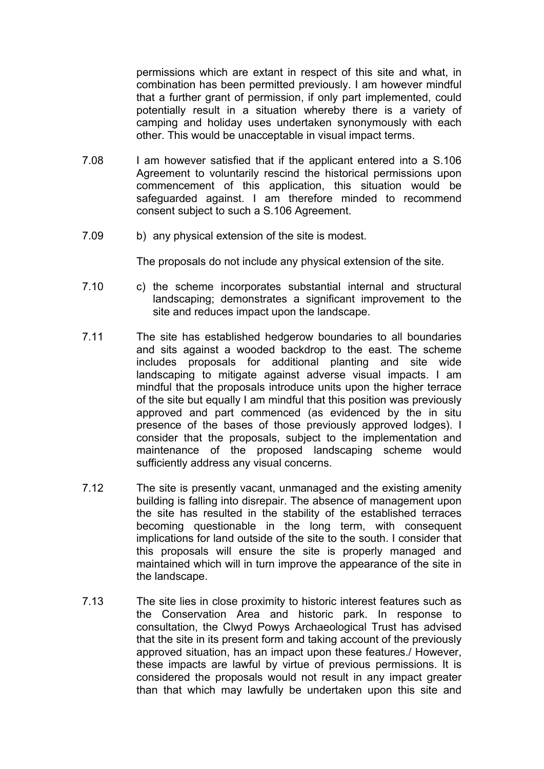permissions which are extant in respect of this site and what, in combination has been permitted previously. I am however mindful that a further grant of permission, if only part implemented, could potentially result in a situation whereby there is a variety of camping and holiday uses undertaken synonymously with each other. This would be unacceptable in visual impact terms.

- 7.08 I am however satisfied that if the applicant entered into a S.106 Agreement to voluntarily rescind the historical permissions upon commencement of this application, this situation would be safeguarded against. I am therefore minded to recommend consent subject to such a S.106 Agreement.
- 7.09 b) any physical extension of the site is modest.

The proposals do not include any physical extension of the site.

- 7.10 c) the scheme incorporates substantial internal and structural landscaping; demonstrates a significant improvement to the site and reduces impact upon the landscape.
- 7.11 The site has established hedgerow boundaries to all boundaries and sits against a wooded backdrop to the east. The scheme includes proposals for additional planting and site wide landscaping to mitigate against adverse visual impacts. I am mindful that the proposals introduce units upon the higher terrace of the site but equally I am mindful that this position was previously approved and part commenced (as evidenced by the in situ presence of the bases of those previously approved lodges). I consider that the proposals, subject to the implementation and maintenance of the proposed landscaping scheme would sufficiently address any visual concerns.
- 7.12 The site is presently vacant, unmanaged and the existing amenity building is falling into disrepair. The absence of management upon the site has resulted in the stability of the established terraces becoming questionable in the long term, with consequent implications for land outside of the site to the south. I consider that this proposals will ensure the site is properly managed and maintained which will in turn improve the appearance of the site in the landscape.
- 7.13 The site lies in close proximity to historic interest features such as the Conservation Area and historic park. In response to consultation, the Clwyd Powys Archaeological Trust has advised that the site in its present form and taking account of the previously approved situation, has an impact upon these features./ However, these impacts are lawful by virtue of previous permissions. It is considered the proposals would not result in any impact greater than that which may lawfully be undertaken upon this site and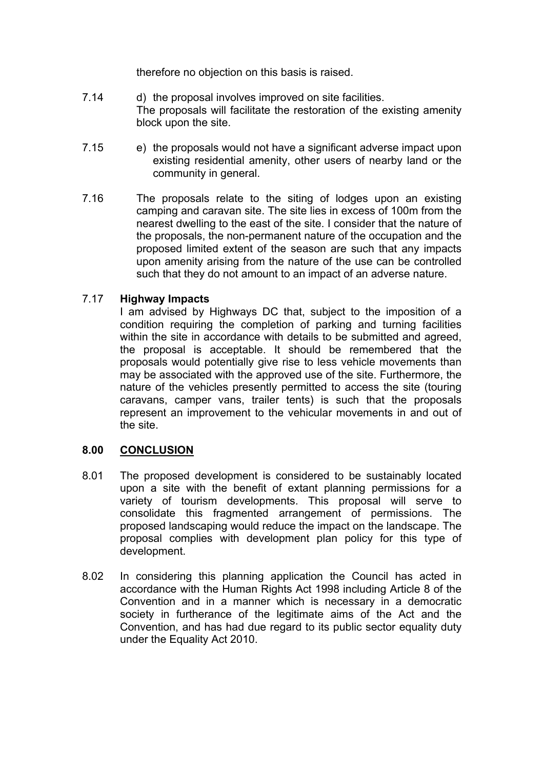therefore no objection on this basis is raised.

- 7.14 d) the proposal involves improved on site facilities. The proposals will facilitate the restoration of the existing amenity block upon the site.
- 7.15 e) the proposals would not have a significant adverse impact upon existing residential amenity, other users of nearby land or the community in general.
- 7.16 The proposals relate to the siting of lodges upon an existing camping and caravan site. The site lies in excess of 100m from the nearest dwelling to the east of the site. I consider that the nature of the proposals, the non-permanent nature of the occupation and the proposed limited extent of the season are such that any impacts upon amenity arising from the nature of the use can be controlled such that they do not amount to an impact of an adverse nature.

#### 7.17 **Highway Impacts**

I am advised by Highways DC that, subject to the imposition of a condition requiring the completion of parking and turning facilities within the site in accordance with details to be submitted and agreed, the proposal is acceptable. It should be remembered that the proposals would potentially give rise to less vehicle movements than may be associated with the approved use of the site. Furthermore, the nature of the vehicles presently permitted to access the site (touring caravans, camper vans, trailer tents) is such that the proposals represent an improvement to the vehicular movements in and out of the site.

### **8.00 CONCLUSION**

- 8.01 The proposed development is considered to be sustainably located upon a site with the benefit of extant planning permissions for a variety of tourism developments. This proposal will serve to consolidate this fragmented arrangement of permissions. The proposed landscaping would reduce the impact on the landscape. The proposal complies with development plan policy for this type of development.
- 8.02 In considering this planning application the Council has acted in accordance with the Human Rights Act 1998 including Article 8 of the Convention and in a manner which is necessary in a democratic society in furtherance of the legitimate aims of the Act and the Convention, and has had due regard to its public sector equality duty under the Equality Act 2010.